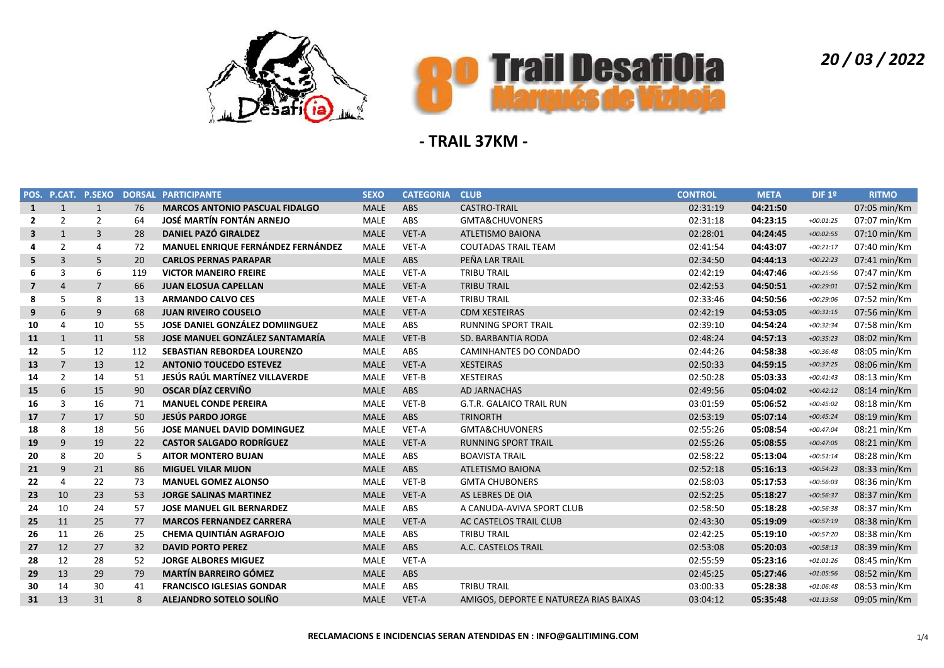



|                         |                | POS. P.CAT. P.SEXO | <b>DORSAL</b> | <b>PARTICIPANTE</b>                   | <b>SEXO</b> | <b>CATEGORIA</b> | <b>CLUB</b>                            | <b>CONTROL</b> | <b>META</b> | DIF 1 <sup>°</sup> | <b>RITMO</b>   |
|-------------------------|----------------|--------------------|---------------|---------------------------------------|-------------|------------------|----------------------------------------|----------------|-------------|--------------------|----------------|
| $\mathbf{1}$            | $\mathbf{1}$   | $\mathbf{1}$       | 76            | <b>MARCOS ANTONIO PASCUAL FIDALGO</b> | <b>MALE</b> | <b>ABS</b>       | <b>CASTRO-TRAIL</b>                    | 02:31:19       | 04:21:50    |                    | 07:05 min/Km   |
| $\overline{2}$          | $\overline{2}$ | $\overline{2}$     | 64            | <b>JOSÉ MARTÍN FONTÁN ARNEJO</b>      | <b>MALE</b> | ABS              | GMTA&CHUVONERS                         | 02:31:18       | 04:23:15    | $+00:01:25$        | 07:07 min/Km   |
| 3                       | $\mathbf{1}$   | 3                  | 28            | DANIEL PAZÓ GIRALDEZ                  | <b>MALE</b> | VET-A            | <b>ATLETISMO BAIONA</b>                | 02:28:01       | 04:24:45    | $+00:02:55$        | $07:10$ min/Km |
| 4                       | 2              | $\overline{4}$     | 72            | MANUEL ENRIQUE FERNÁNDEZ FERNÁNDEZ    | <b>MALE</b> | VET-A            | <b>COUTADAS TRAIL TEAM</b>             | 02:41:54       | 04:43:07    | $+00:21:17$        | 07:40 min/Km   |
| 5                       | 3              | 5                  | 20            | <b>CARLOS PERNAS PARAPAR</b>          | <b>MALE</b> | ABS              | PEÑA LAR TRAIL                         | 02:34:50       | 04:44:13    | $+00:22:23$        | 07:41 min/Km   |
| 6                       | 3              | 6                  | 119           | <b>VICTOR MANEIRO FREIRE</b>          | <b>MALE</b> | VET-A            | <b>TRIBU TRAIL</b>                     | 02:42:19       | 04:47:46    | $+00:25:56$        | 07:47 min/Km   |
| $\overline{\mathbf{z}}$ | $\overline{4}$ | $\overline{7}$     | 66            | <b>JUAN ELOSUA CAPELLAN</b>           | <b>MALE</b> | VET-A            | <b>TRIBU TRAIL</b>                     | 02:42:53       | 04:50:51    | $+00:29:01$        | 07:52 min/Km   |
| 8                       | 5              | 8                  | 13            | <b>ARMANDO CALVO CES</b>              | <b>MALE</b> | VET-A            | <b>TRIBU TRAIL</b>                     | 02:33:46       | 04:50:56    | $+00:29:06$        | 07:52 min/Km   |
| 9                       | 6              | 9                  | 68            | <b>JUAN RIVEIRO COUSELO</b>           | <b>MALE</b> | VET-A            | <b>CDM XESTEIRAS</b>                   | 02:42:19       | 04:53:05    | $+00:31:15$        | 07:56 min/Km   |
| 10                      | $\overline{4}$ | 10                 | 55            | JOSE DANIEL GONZÁLEZ DOMIINGUEZ       | <b>MALE</b> | ABS              | <b>RUNNING SPORT TRAIL</b>             | 02:39:10       | 04:54:24    | $+00:32:34$        | 07:58 min/Km   |
| 11                      | $\mathbf{1}$   | 11                 | 58            | JOSE MANUEL GONZÁLEZ SANTAMARÍA       | <b>MALE</b> | VET-B            | SD. BARBANTIA RODA                     | 02:48:24       | 04:57:13    | $+00:35:23$        | 08:02 min/Km   |
| 12                      | .5             | 12                 | 112           | <b>SEBASTIAN REBORDEA LOURENZO</b>    | <b>MALE</b> | ABS              | CAMINHANTES DO CONDADO                 | 02:44:26       | 04:58:38    | $+00:36:48$        | 08:05 min/Km   |
| 13                      | $\overline{7}$ | 13                 | 12            | <b>ANTONIO TOUCEDO ESTEVEZ</b>        | <b>MALE</b> | VET-A            | <b>XESTEIRAS</b>                       | 02:50:33       | 04:59:15    | $+00:37:25$        | 08:06 min/Km   |
| 14                      | $\overline{2}$ | 14                 | 51            | JESÚS RAÚL MARTÍNEZ VILLAVERDE        | <b>MALE</b> | VET-B            | <b>XESTEIRAS</b>                       | 02:50:28       | 05:03:33    | $+00:41:43$        | 08:13 min/Km   |
| 15                      | 6              | 15                 | 90            | OSCAR DÍAZ CERVIÑO                    | <b>MALE</b> | ABS              | AD JARNACHAS                           | 02:49:56       | 05:04:02    | $+00:42:12$        | 08:14 min/Km   |
| 16                      | $\overline{3}$ | 16                 | 71            | <b>MANUEL CONDE PEREIRA</b>           | <b>MALE</b> | VET-B            | G.T.R. GALAICO TRAIL RUN               | 03:01:59       | 05:06:52    | $+00:45:02$        | 08:18 min/Km   |
| 17                      | $\overline{7}$ | 17                 | 50            | <b>JESÚS PARDO JORGE</b>              | <b>MALE</b> | <b>ABS</b>       | <b>TRINORTH</b>                        | 02:53:19       | 05:07:14    | $+00:45:24$        | 08:19 min/Km   |
| 18                      | 8              | 18                 | 56            | <b>JOSE MANUEL DAVID DOMINGUEZ</b>    | <b>MALE</b> | VET-A            | GMTA&CHUVONERS                         | 02:55:26       | 05:08:54    | $+00:47:04$        | 08:21 min/Km   |
| 19                      | 9              | 19                 | 22            | <b>CASTOR SALGADO RODRÍGUEZ</b>       | <b>MALE</b> | VET-A            | <b>RUNNING SPORT TRAIL</b>             | 02:55:26       | 05:08:55    | $+00:47:05$        | 08:21 min/Km   |
| 20                      | 8              | 20                 | 5             | <b>AITOR MONTERO BUJAN</b>            | <b>MALE</b> | ABS              | <b>BOAVISTA TRAIL</b>                  | 02:58:22       | 05:13:04    | $+00:51:14$        | 08:28 min/Km   |
| 21                      | 9              | 21                 | 86            | <b>MIGUEL VILAR MIJON</b>             | <b>MALE</b> | ABS              | <b>ATLETISMO BAIONA</b>                | 02:52:18       | 05:16:13    | $+00:54:23$        | 08:33 min/Km   |
| 22                      | $\overline{4}$ | 22                 | 73            | <b>MANUEL GOMEZ ALONSO</b>            | <b>MALE</b> | VET-B            | <b>GMTA CHUBONERS</b>                  | 02:58:03       | 05:17:53    | $+00:56:03$        | 08:36 min/Km   |
| 23                      | 10             | 23                 | 53            | <b>JORGE SALINAS MARTINEZ</b>         | <b>MALE</b> | VET-A            | AS LEBRES DE OIA                       | 02:52:25       | 05:18:27    | $+00:56:37$        | 08:37 min/Km   |
| 24                      | 10             | 24                 | 57            | <b>JOSE MANUEL GIL BERNARDEZ</b>      | <b>MALE</b> | ABS              | A CANUDA-AVIVA SPORT CLUB              | 02:58:50       | 05:18:28    | $+00:56:38$        | 08:37 min/Km   |
| 25                      | 11             | 25                 | 77            | <b>MARCOS FERNANDEZ CARRERA</b>       | <b>MALE</b> | VET-A            | AC CASTELOS TRAIL CLUB                 | 02:43:30       | 05:19:09    | $+00:57:19$        | 08:38 min/Km   |
| 26                      | 11             | 26                 | 25            | <b>CHEMA QUINTIÁN AGRAFOJO</b>        | <b>MALE</b> | ABS              | <b>TRIBU TRAIL</b>                     | 02:42:25       | 05:19:10    | +00:57:20          | 08:38 min/Km   |
| 27                      | 12             | 27                 | 32            | <b>DAVID PORTO PEREZ</b>              | <b>MALE</b> | ABS              | A.C. CASTELOS TRAIL                    | 02:53:08       | 05:20:03    | $+00:58:13$        | 08:39 min/Km   |
| 28                      | 12             | 28                 | 52            | <b>JORGE ALBORES MIGUEZ</b>           | <b>MALE</b> | VET-A            |                                        | 02:55:59       | 05:23:16    | $+01:01:26$        | 08:45 min/Km   |
| 29                      | 13             | 29                 | 79            | <b>MARTÍN BARREIRO GÓMEZ</b>          | <b>MALE</b> | ABS              |                                        | 02:45:25       | 05:27:46    | $+01:05:56$        | 08:52 min/Km   |
| 30                      | 14             | 30                 | 41            | <b>FRANCISCO IGLESIAS GONDAR</b>      | <b>MALE</b> | ABS              | <b>TRIBU TRAIL</b>                     | 03:00:33       | 05:28:38    | $+01:06:48$        | 08:53 min/Km   |
| 31                      | 13             | 31                 | 8             | ALEJANDRO SOTELO SOLIÑO               | <b>MALE</b> | VET-A            | AMIGOS, DEPORTE E NATUREZA RIAS BAIXAS | 03:04:12       | 05:35:48    | $+01:13:58$        | 09:05 min/Km   |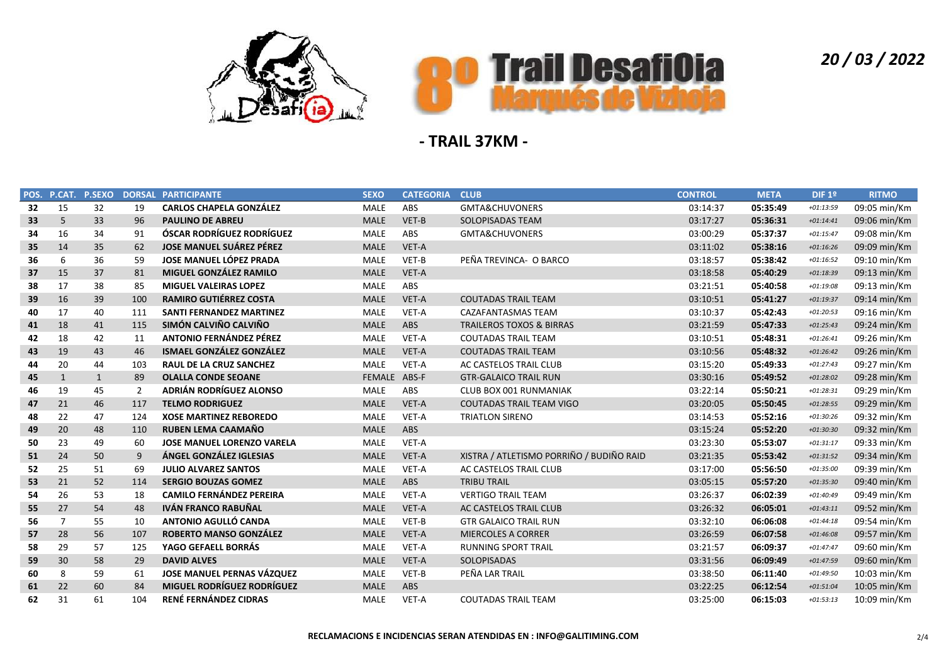



|    | POS. P.CAT.  | <b>P.SEXO</b> |     | <b>DORSAL PARTICIPANTE</b>        | <b>SEXO</b>  | <b>CATEGORIA</b> | <b>CLUB</b>                              | <b>CONTROL</b> | <b>META</b> | DIF 1º      | <b>RITMO</b> |
|----|--------------|---------------|-----|-----------------------------------|--------------|------------------|------------------------------------------|----------------|-------------|-------------|--------------|
| 32 | 15           | 32            | 19  | <b>CARLOS CHAPELA GONZÁLEZ</b>    | MALE         | ABS              | GMTA&CHUVONERS                           | 03:14:37       | 05:35:49    | +01:13:59   | 09:05 min/Km |
| 33 | 5            | 33            | 96  | <b>PAULINO DE ABREU</b>           | <b>MALE</b>  | VET-B            | SOLOPISADAS TEAM                         | 03:17:27       | 05:36:31    | $+01:14:41$ | 09:06 min/Km |
| 34 | 16           | 34            | 91  | <b>ÓSCAR RODRÍGUEZ RODRÍGUEZ</b>  | MALE         | ABS              | GMTA&CHUVONERS                           | 03:00:29       | 05:37:37    | $+01:15:47$ | 09:08 min/Km |
| 35 | 14           | 35            | 62  | <b>JOSE MANUEL SUÁREZ PÉREZ</b>   | <b>MALE</b>  | VET-A            |                                          | 03:11:02       | 05:38:16    | $+01:16:26$ | 09:09 min/Km |
| 36 | 6            | 36            | 59  | <b>JOSE MANUEL LÓPEZ PRADA</b>    | <b>MALE</b>  | VET-B            | PEÑA TREVINCA- O BARCO                   | 03:18:57       | 05:38:42    | $+01:16:52$ | 09:10 min/Km |
| 37 | 15           | 37            | 81  | MIGUEL GONZÁLEZ RAMILO            | <b>MALE</b>  | VET-A            |                                          | 03:18:58       | 05:40:29    | $+01:18:39$ | 09:13 min/Km |
| 38 | 17           | 38            | 85  | <b>MIGUEL VALEIRAS LOPEZ</b>      | <b>MALE</b>  | ABS              |                                          | 03:21:51       | 05:40:58    | $+01:19:08$ | 09:13 min/Km |
| 39 | 16           | 39            | 100 | <b>RAMIRO GUTIÉRREZ COSTA</b>     | <b>MALE</b>  | VET-A            | <b>COUTADAS TRAIL TEAM</b>               | 03:10:51       | 05:41:27    | $+01:19:37$ | 09:14 min/Km |
| 40 | 17           | 40            | 111 | <b>SANTI FERNANDEZ MARTINEZ</b>   | <b>MALE</b>  | VET-A            | CAZAFANTASMAS TEAM                       | 03:10:37       | 05:42:43    | $+01:20:53$ | 09:16 min/Km |
| 41 | 18           | 41            | 115 | SIMÓN CALVIÑO CALVIÑO             | <b>MALE</b>  | ABS              | <b>TRAILEROS TOXOS &amp; BIRRAS</b>      | 03:21:59       | 05:47:33    | $+01:25:43$ | 09:24 min/Km |
| 42 | 18           | 42            | 11  | <b>ANTONIO FERNÁNDEZ PÉREZ</b>    | <b>MALE</b>  | VET-A            | <b>COUTADAS TRAIL TEAM</b>               | 03:10:51       | 05:48:31    | $+01:26:41$ | 09:26 min/Km |
| 43 | 19           | 43            | 46  | <b>ISMAEL GONZÁLEZ GONZÁLEZ</b>   | <b>MALE</b>  | VET-A            | <b>COUTADAS TRAIL TEAM</b>               | 03:10:56       | 05:48:32    | $+01:26:42$ | 09:26 min/Km |
| 44 | 20           | 44            | 103 | <b>RAUL DE LA CRUZ SANCHEZ</b>    | <b>MALE</b>  | VET-A            | AC CASTELOS TRAIL CLUB                   | 03:15:20       | 05:49:33    | $+01:27:43$ | 09:27 min/Km |
| 45 | $\mathbf{1}$ | $\mathbf{1}$  | 89  | <b>OLALLA CONDE SEOANE</b>        | FEMALE ABS-F |                  | <b>GTR-GALAICO TRAIL RUN</b>             | 03:30:16       | 05:49:52    | $+01:28:02$ | 09:28 min/Km |
| 46 | 19           | 45            | 2   | ADRIÁN RODRÍGUEZ ALONSO           | <b>MALE</b>  | ABS              | CLUB BOX 001 RUNMANIAK                   | 03:22:14       | 05:50:21    | $+01:28:31$ | 09:29 min/Km |
| 47 | 21           | 46            | 117 | <b>TELMO RODRIGUEZ</b>            | <b>MALE</b>  | VET-A            | <b>COUTADAS TRAIL TEAM VIGO</b>          | 03:20:05       | 05:50:45    | $+01:28:55$ | 09:29 min/Km |
| 48 | 22           | 47            | 124 | <b>XOSE MARTINEZ REBOREDO</b>     | <b>MALE</b>  | VET-A            | <b>TRIATLON SIRENO</b>                   | 03:14:53       | 05:52:16    | $+01:30:26$ | 09:32 min/Km |
| 49 | 20           | 48            | 110 | <b>RUBEN LEMA CAAMAÑO</b>         | <b>MALE</b>  | ABS              |                                          | 03:15:24       | 05:52:20    | $+01:30:30$ | 09:32 min/Km |
| 50 | 23           | 49            | 60  | <b>JOSE MANUEL LORENZO VARELA</b> | <b>MALE</b>  | VET-A            |                                          | 03:23:30       | 05:53:07    | $+01:31:17$ | 09:33 min/Km |
| 51 | 24           | 50            | 9   | ÁNGEL GONZÁLEZ IGLESIAS           | <b>MALE</b>  | VET-A            | XISTRA / ATLETISMO PORRIÑO / BUDIÑO RAID | 03:21:35       | 05:53:42    | $+01:31:52$ | 09:34 min/Km |
| 52 | 25           | 51            | 69  | <b>JULIO ALVAREZ SANTOS</b>       | MALE         | VET-A            | AC CASTELOS TRAIL CLUB                   | 03:17:00       | 05:56:50    | $+01:35:00$ | 09:39 min/Km |
| 53 | 21           | 52            | 114 | <b>SERGIO BOUZAS GOMEZ</b>        | <b>MALE</b>  | ABS              | <b>TRIBU TRAIL</b>                       | 03:05:15       | 05:57:20    | $+01:35:30$ | 09:40 min/Km |
| 54 | 26           | 53            | 18  | <b>CAMILO FERNÁNDEZ PEREIRA</b>   | MALE         | VET-A            | <b>VERTIGO TRAIL TEAM</b>                | 03:26:37       | 06:02:39    | $+01:40:49$ | 09:49 min/Km |
| 55 | 27           | 54            | 48  | <b>IVÁN FRANCO RABUÑAL</b>        | <b>MALE</b>  | VET-A            | AC CASTELOS TRAIL CLUB                   | 03:26:32       | 06:05:01    | $+01:43:11$ | 09:52 min/Km |
| 56 | 7            | 55            | 10  | ANTONIO AGULLÓ CANDA              | <b>MALE</b>  | VET-B            | <b>GTR GALAICO TRAIL RUN</b>             | 03:32:10       | 06:06:08    | $+01:44:18$ | 09:54 min/Km |
| 57 | 28           | 56            | 107 | ROBERTO MANSO GONZÁLEZ            | <b>MALE</b>  | VET-A            | <b>MIERCOLES A CORRER</b>                | 03:26:59       | 06:07:58    | $+01:46:08$ | 09:57 min/Km |
| 58 | 29           | 57            | 125 | YAGO GEFAELL BORRÁS               | <b>MALE</b>  | VET-A            | <b>RUNNING SPORT TRAIL</b>               | 03:21:57       | 06:09:37    | $+01:47:47$ | 09:60 min/Km |
| 59 | 30           | 58            | 29  | <b>DAVID ALVES</b>                | <b>MALE</b>  | VET-A            | SOLOPISADAS                              | 03:31:56       | 06:09:49    | $+01:47:59$ | 09:60 min/Km |
| 60 | 8            | 59            | 61  | <b>JOSE MANUEL PERNAS VÁZQUEZ</b> | <b>MALE</b>  | VET-B            | PEÑA LAR TRAIL                           | 03:38:50       | 06:11:40    | $+01:49:50$ | 10:03 min/Km |
| 61 | 22           | 60            | 84  | <b>MIGUEL RODRÍGUEZ RODRÍGUEZ</b> | <b>MALE</b>  | ABS              |                                          | 03:22:25       | 06:12:54    | $+01:51:04$ | 10:05 min/Km |
| 62 | 31           | 61            | 104 | RENÉ FERNÁNDEZ CIDRAS             | <b>MALE</b>  | VET-A            | <b>COUTADAS TRAIL TEAM</b>               | 03:25:00       | 06:15:03    | $+01:53:13$ | 10:09 min/Km |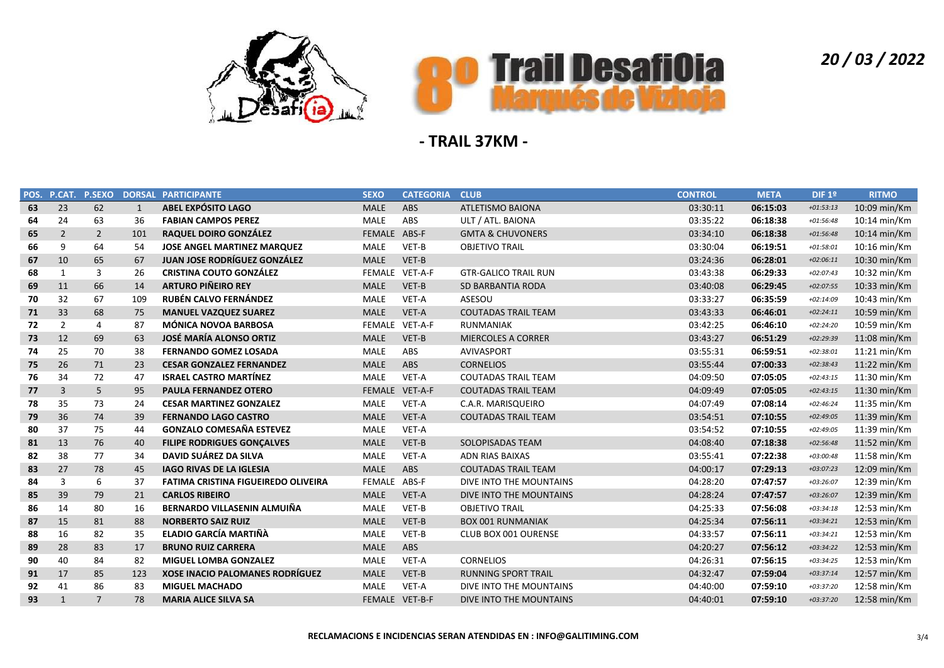



| POS. | P.CAT.         | <b>P.SEXO</b>  | <b>DORSAL</b> | <b>PARTICIPANTE</b>                        | <b>SEXO</b>    | <b>CATEGORIA</b> | <b>CLUB</b>                 | <b>CONTROL</b> | <b>META</b> | DIF 1º      | <b>RITMO</b>           |
|------|----------------|----------------|---------------|--------------------------------------------|----------------|------------------|-----------------------------|----------------|-------------|-------------|------------------------|
| 63   | 23             | 62             | 1             | <b>ABEL EXPÓSITO LAGO</b>                  | <b>MALE</b>    | ABS              | <b>ATLETISMO BAIONA</b>     | 03:30:11       | 06:15:03    | $+01:53:13$ | 10:09 min/Km           |
| 64   | 24             | 63             | 36            | <b>FABIAN CAMPOS PEREZ</b>                 | <b>MALE</b>    | ABS              | ULT / ATL. BAIONA           | 03:35:22       | 06:18:38    | $+01:56:48$ | 10:14 min/Km           |
| 65   | $\overline{2}$ | $\overline{2}$ | 101           | <b>RAQUEL DOIRO GONZÁLEZ</b>               | FEMALE ABS-F   |                  | <b>GMTA &amp; CHUVONERS</b> | 03:34:10       | 06:18:38    | $+01:56:48$ | 10:14 min/Km           |
| 66   | 9              | 64             | 54            | <b>JOSE ANGEL MARTINEZ MARQUEZ</b>         | <b>MALE</b>    | VET-B            | <b>OBJETIVO TRAIL</b>       | 03:30:04       | 06:19:51    | $+01:58:01$ | 10:16 min/Km           |
| 67   | 10             | 65             | 67            | <b>JUAN JOSE RODRÍGUEZ GONZÁLEZ</b>        | <b>MALE</b>    | VET-B            |                             | 03:24:36       | 06:28:01    | $+02:06:11$ | 10:30 min/Km           |
| 68   | 1              | 3              | 26            | <b>CRISTINA COUTO GONZÁLEZ</b>             | FEMALE VET-A-F |                  | <b>GTR-GALICO TRAIL RUN</b> | 03:43:38       | 06:29:33    | $+02:07:43$ | 10:32 min/Km           |
| 69   | 11             | 66             | 14            | <b>ARTURO PIÑEIRO REY</b>                  | <b>MALE</b>    | VET-B            | <b>SD BARBANTIA RODA</b>    | 03:40:08       | 06:29:45    | $+02:07:55$ | 10:33 min/Km           |
| 70   | 32             | 67             | 109           | <b>RUBÉN CALVO FERNÁNDEZ</b>               | <b>MALE</b>    | VET-A            | ASESOU                      | 03:33:27       | 06:35:59    | $+02:14:09$ | 10:43 min/Km           |
| 71   | 33             | 68             | 75            | <b>MANUEL VAZQUEZ SUAREZ</b>               | <b>MALE</b>    | VET-A            | <b>COUTADAS TRAIL TEAM</b>  | 03:43:33       | 06:46:01    | $+02:24:11$ | 10:59 min/Km           |
| 72   | $\overline{2}$ | $\overline{4}$ | 87            | <b>MÓNICA NOVOA BARBOSA</b>                |                | FEMALE VET-A-F   | <b>RUNMANIAK</b>            | 03:42:25       | 06:46:10    | $+02:24:20$ | 10:59 min/Km           |
| 73   | 12             | 69             | 63            | <b>JOSÉ MARÍA ALONSO ORTIZ</b>             | <b>MALE</b>    | VET-B            | <b>MIERCOLES A CORRER</b>   | 03:43:27       | 06:51:29    | +02:29:39   | 11:08 min/Km           |
| 74   | 25             | 70             | 38            | <b>FERNANDO GOMEZ LOSADA</b>               | <b>MALE</b>    | ABS              | <b>AVIVASPORT</b>           | 03:55:31       | 06:59:51    | $+02:38:01$ | 11:21 min/Km           |
| 75   | 26             | 71             | 23            | <b>CESAR GONZALEZ FERNANDEZ</b>            | <b>MALE</b>    | ABS              | <b>CORNELIOS</b>            | 03:55:44       | 07:00:33    | $+02:38:43$ | 11:22 min/Km           |
| 76   | 34             | 72             | 47            | <b>ISRAEL CASTRO MARTÍNEZ</b>              | <b>MALE</b>    | VET-A            | <b>COUTADAS TRAIL TEAM</b>  | 04:09:50       | 07:05:05    | $+02:43:15$ | 11:30 min/Km           |
| 77   | 3              | 5              | 95            | <b>PAULA FERNANDEZ OTERO</b>               | FEMALE VET-A-F |                  | <b>COUTADAS TRAIL TEAM</b>  | 04:09:49       | 07:05:05    | $+02:43:15$ | $11:30$ min/Km         |
| 78   | 35             | 73             | 24            | <b>CESAR MARTINEZ GONZALEZ</b>             | <b>MALE</b>    | VET-A            | C.A.R. MARISQUEIRO          | 04:07:49       | 07:08:14    | $+02:46:24$ | $11:35 \text{ min/Km}$ |
| 79   | 36             | 74             | 39            | <b>FERNANDO LAGO CASTRO</b>                | <b>MALE</b>    | VET-A            | <b>COUTADAS TRAIL TEAM</b>  | 03:54:51       | 07:10:55    | $+02:49:05$ | 11:39 min/Km           |
| 80   | 37             | 75             | 44            | <b>GONZALO COMESAÑA ESTEVEZ</b>            | <b>MALE</b>    | VET-A            |                             | 03:54:52       | 07:10:55    | $+02:49:05$ | 11:39 min/Km           |
| 81   | 13             | 76             | 40            | <b>FILIPE RODRIGUES GONÇALVES</b>          | <b>MALE</b>    | VET-B            | SOLOPISADAS TEAM            | 04:08:40       | 07:18:38    | $+02:56:48$ | 11:52 min/Km           |
| 82   | 38             | 77             | 34            | DAVID SUÁREZ DA SILVA                      | <b>MALE</b>    | VET-A            | <b>ADN RIAS BAIXAS</b>      | 03:55:41       | 07:22:38    | $+03:00:48$ | 11:58 min/Km           |
| 83   | 27             | 78             | 45            | <b>IAGO RIVAS DE LA IGLESIA</b>            | <b>MALE</b>    | ABS              | <b>COUTADAS TRAIL TEAM</b>  | 04:00:17       | 07:29:13    | $+03:07:23$ | 12:09 min/Km           |
| 84   | 3              | 6              | 37            | <b>FATIMA CRISTINA FIGUEIREDO OLIVEIRA</b> | FEMALE ABS-F   |                  | DIVE INTO THE MOUNTAINS     | 04:28:20       | 07:47:57    | $+03:26:07$ | 12:39 min/Km           |
| 85   | 39             | 79             | 21            | <b>CARLOS RIBEIRO</b>                      | <b>MALE</b>    | VET-A            | DIVE INTO THE MOUNTAINS     | 04:28:24       | 07:47:57    | +03:26:07   | 12:39 min/Km           |
| 86   | 14             | 80             | 16            | BERNARDO VILLASENIN ALMUIÑA                | <b>MALE</b>    | VET-B            | <b>OBJETIVO TRAIL</b>       | 04:25:33       | 07:56:08    | $+03:34:18$ | 12:53 min/Km           |
| 87   | 15             | 81             | 88            | <b>NORBERTO SAIZ RUIZ</b>                  | <b>MALE</b>    | VET-B            | <b>BOX 001 RUNMANIAK</b>    | 04:25:34       | 07:56:11    | $+03:34:21$ | 12:53 min/Km           |
| 88   | 16             | 82             | 35            | <b>ELADIO GARCÍA MARTIÑÀ</b>               | <b>MALE</b>    | VET-B            | CLUB BOX 001 OURENSE        | 04:33:57       | 07:56:11    | $+03:34:21$ | 12:53 min/Km           |
| 89   | 28             | 83             | 17            | <b>BRUNO RUIZ CARRERA</b>                  | <b>MALE</b>    | ABS              |                             | 04:20:27       | 07:56:12    | $+03:34:22$ | 12:53 min/Km           |
| 90   | 40             | 84             | 82            | <b>MIGUEL LOMBA GONZALEZ</b>               | <b>MALE</b>    | VET-A            | <b>CORNELIOS</b>            | 04:26:31       | 07:56:15    | $+03:34:25$ | 12:53 min/Km           |
| 91   | 17             | 85             | 123           | <b>XOSE INACIO PALOMANES RODRÍGUEZ</b>     | <b>MALE</b>    | VET-B            | <b>RUNNING SPORT TRAIL</b>  | 04:32:47       | 07:59:04    | $+03:37:14$ | 12:57 min/Km           |
| 92   | 41             | 86             | 83            | <b>MIGUEL MACHADO</b>                      | <b>MALE</b>    | VET-A            | DIVE INTO THE MOUNTAINS     | 04:40:00       | 07:59:10    | $+03:37:20$ | 12:58 min/Km           |
| 93   | 1              | $\overline{7}$ | 78            | <b>MARIA ALICE SILVA SA</b>                | FEMALE VET-B-F |                  | DIVE INTO THE MOUNTAINS     | 04:40:01       | 07:59:10    | $+03:37:20$ | 12:58 min/Km           |